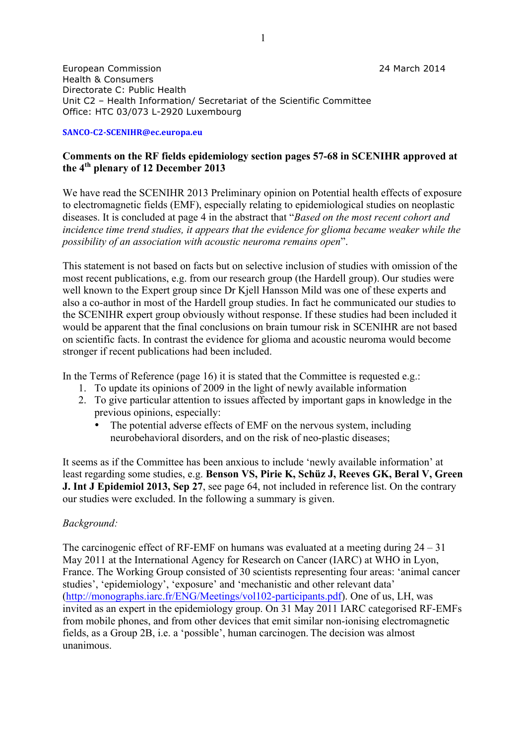European Commission 24 March 2014 Health & Consumers Directorate C: Public Health Unit C2 – Health Information/ Secretariat of the Scientific Committee Office: HTC 03/073 L-2920 Luxembourg

#### **SANCO-C2-SCENIHR@ec.europa.eu**

# **Comments on the RF fields epidemiology section pages 57-68 in SCENIHR approved at the 4th plenary of 12 December 2013**

We have read the SCENIHR 2013 Preliminary opinion on Potential health effects of exposure to electromagnetic fields (EMF), especially relating to epidemiological studies on neoplastic diseases. It is concluded at page 4 in the abstract that "*Based on the most recent cohort and incidence time trend studies, it appears that the evidence for glioma became weaker while the possibility of an association with acoustic neuroma remains open*".

This statement is not based on facts but on selective inclusion of studies with omission of the most recent publications, e.g. from our research group (the Hardell group). Our studies were well known to the Expert group since Dr Kjell Hansson Mild was one of these experts and also a co-author in most of the Hardell group studies. In fact he communicated our studies to the SCENIHR expert group obviously without response. If these studies had been included it would be apparent that the final conclusions on brain tumour risk in SCENIHR are not based on scientific facts. In contrast the evidence for glioma and acoustic neuroma would become stronger if recent publications had been included.

In the Terms of Reference (page 16) it is stated that the Committee is requested e.g.:

- 1. To update its opinions of 2009 in the light of newly available information
- 2. To give particular attention to issues affected by important gaps in knowledge in the previous opinions, especially:
	- The potential adverse effects of EMF on the nervous system, including neurobehavioral disorders, and on the risk of neo-plastic diseases;

It seems as if the Committee has been anxious to include 'newly available information' at least regarding some studies, e.g. **Benson VS, Pirie K, Schüz J, Reeves GK, Beral V, Green J. Int J Epidemiol 2013, Sep 27**, see page 64, not included in reference list. On the contrary our studies were excluded. In the following a summary is given.

## *Background:*

The carcinogenic effect of RF-EMF on humans was evaluated at a meeting during 24 – 31 May 2011 at the International Agency for Research on Cancer (IARC) at WHO in Lyon, France. The Working Group consisted of 30 scientists representing four areas: 'animal cancer studies', 'epidemiology', 'exposure' and 'mechanistic and other relevant data' (http://monographs.iarc.fr/ENG/Meetings/vol102-participants.pdf). One of us, LH, was invited as an expert in the epidemiology group. On 31 May 2011 IARC categorised RF-EMFs from mobile phones, and from other devices that emit similar non-ionising electromagnetic fields, as a Group 2B, i.e. a 'possible', human carcinogen. The decision was almost unanimous.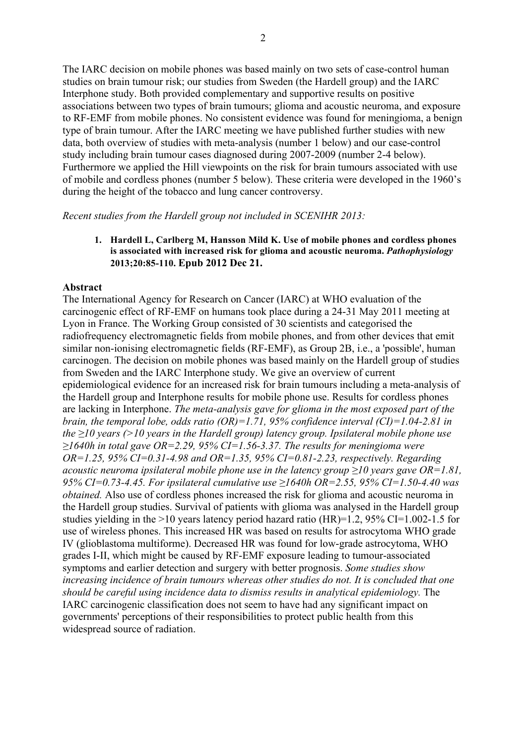The IARC decision on mobile phones was based mainly on two sets of case-control human studies on brain tumour risk; our studies from Sweden (the Hardell group) and the IARC Interphone study. Both provided complementary and supportive results on positive associations between two types of brain tumours; glioma and acoustic neuroma, and exposure to RF-EMF from mobile phones. No consistent evidence was found for meningioma, a benign type of brain tumour. After the IARC meeting we have published further studies with new data, both overview of studies with meta-analysis (number 1 below) and our case-control study including brain tumour cases diagnosed during 2007-2009 (number 2-4 below). Furthermore we applied the Hill viewpoints on the risk for brain tumours associated with use of mobile and cordless phones (number 5 below). These criteria were developed in the 1960's during the height of the tobacco and lung cancer controversy.

*Recent studies from the Hardell group not included in SCENIHR 2013:*

**1. Hardell L, Carlberg M, Hansson Mild K. Use of mobile phones and cordless phones is associated with increased risk for glioma and acoustic neuroma.** *Pathophysiology* **2013;20:85-110. Epub 2012 Dec 21.**

# **Abstract**

The International Agency for Research on Cancer (IARC) at WHO evaluation of the carcinogenic effect of RF-EMF on humans took place during a 24-31 May 2011 meeting at Lyon in France. The Working Group consisted of 30 scientists and categorised the radiofrequency electromagnetic fields from mobile phones, and from other devices that emit similar non-ionising electromagnetic fields (RF-EMF), as Group 2B, i.e., a 'possible', human carcinogen. The decision on mobile phones was based mainly on the Hardell group of studies from Sweden and the IARC Interphone study. We give an overview of current epidemiological evidence for an increased risk for brain tumours including a meta-analysis of the Hardell group and Interphone results for mobile phone use. Results for cordless phones are lacking in Interphone. *The meta-analysis gave for glioma in the most exposed part of the brain, the temporal lobe, odds ratio (OR)=1.71, 95% confidence interval (CI)=1.04-2.81 in the ≥10 years (>10 years in the Hardell group) latency group. Ipsilateral mobile phone use ≥1640h in total gave OR=2.29, 95% CI=1.56-3.37. The results for meningioma were OR=1.25, 95% CI=0.31-4.98 and OR=1.35, 95% CI=0.81-2.23, respectively. Regarding acoustic neuroma ipsilateral mobile phone use in the latency group ≥10 years gave OR=1.81, 95% CI=0.73-4.45. For ipsilateral cumulative use ≥1640h OR=2.55, 95% CI=1.50-4.40 was obtained.* Also use of cordless phones increased the risk for glioma and acoustic neuroma in the Hardell group studies. Survival of patients with glioma was analysed in the Hardell group studies yielding in the >10 years latency period hazard ratio (HR)=1.2, 95% CI=1.002-1.5 for use of wireless phones. This increased HR was based on results for astrocytoma WHO grade IV (glioblastoma multiforme). Decreased HR was found for low-grade astrocytoma, WHO grades I-II, which might be caused by RF-EMF exposure leading to tumour-associated symptoms and earlier detection and surgery with better prognosis. *Some studies show increasing incidence of brain tumours whereas other studies do not. It is concluded that one should be careful using incidence data to dismiss results in analytical epidemiology.* The IARC carcinogenic classification does not seem to have had any significant impact on governments' perceptions of their responsibilities to protect public health from this widespread source of radiation.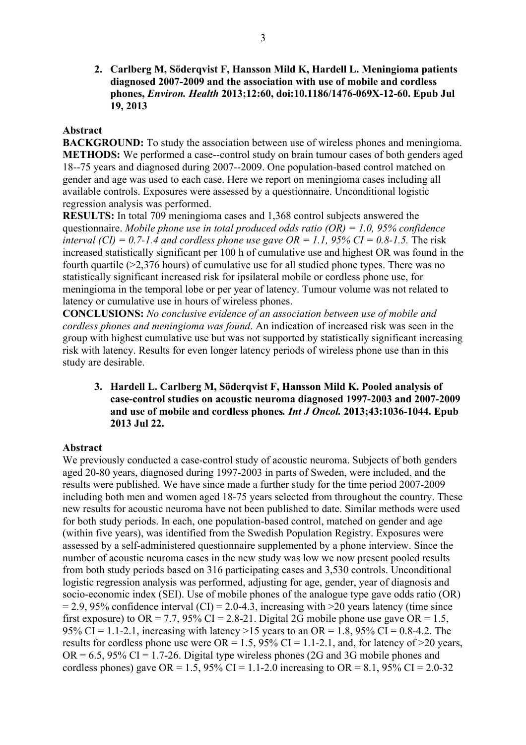**2. Carlberg M, Söderqvist F, Hansson Mild K, Hardell L. Meningioma patients diagnosed 2007-2009 and the association with use of mobile and cordless phones,** *Environ. Health* **2013;12:60, doi:10.1186/1476-069X-12-60. Epub Jul 19, 2013**

#### **Abstract**

**BACKGROUND:** To study the association between use of wireless phones and meningioma. **METHODS:** We performed a case--control study on brain tumour cases of both genders aged 18--75 years and diagnosed during 2007--2009. One population-based control matched on gender and age was used to each case. Here we report on meningioma cases including all available controls. Exposures were assessed by a questionnaire. Unconditional logistic regression analysis was performed.

**RESULTS:** In total 709 meningioma cases and 1,368 control subjects answered the questionnaire. *Mobile phone use in total produced odds ratio (OR) = 1.0, 95% confidence interval (CI) = 0.7-1.4 and cordless phone use gave OR = 1.1, 95% CI = 0.8-1.5.* The risk increased statistically significant per 100 h of cumulative use and highest OR was found in the fourth quartile (>2,376 hours) of cumulative use for all studied phone types. There was no statistically significant increased risk for ipsilateral mobile or cordless phone use, for meningioma in the temporal lobe or per year of latency. Tumour volume was not related to latency or cumulative use in hours of wireless phones.

**CONCLUSIONS:** *No conclusive evidence of an association between use of mobile and cordless phones and meningioma was found*. An indication of increased risk was seen in the group with highest cumulative use but was not supported by statistically significant increasing risk with latency. Results for even longer latency periods of wireless phone use than in this study are desirable.

**3. Hardell L. Carlberg M, Söderqvist F, Hansson Mild K. Pooled analysis of case-control studies on acoustic neuroma diagnosed 1997-2003 and 2007-2009 and use of mobile and cordless phones***. Int J Oncol.* **2013;43:1036-1044. Epub 2013 Jul 22.**

## **Abstract**

We previously conducted a case-control study of acoustic neuroma. Subjects of both genders aged 20-80 years, diagnosed during 1997-2003 in parts of Sweden, were included, and the results were published. We have since made a further study for the time period 2007-2009 including both men and women aged 18-75 years selected from throughout the country. These new results for acoustic neuroma have not been published to date. Similar methods were used for both study periods. In each, one population-based control, matched on gender and age (within five years), was identified from the Swedish Population Registry. Exposures were assessed by a self-administered questionnaire supplemented by a phone interview. Since the number of acoustic neuroma cases in the new study was low we now present pooled results from both study periods based on 316 participating cases and 3,530 controls. Unconditional logistic regression analysis was performed, adjusting for age, gender, year of diagnosis and socio-economic index (SEI). Use of mobile phones of the analogue type gave odds ratio (OR)  $= 2.9, 95\%$  confidence interval (CI) = 2.0-4.3, increasing with >20 years latency (time since first exposure) to  $OR = 7.7$ , 95% CI = 2.8-21. Digital 2G mobile phone use gave  $OR = 1.5$ , 95% CI = 1.1-2.1, increasing with latency >15 years to an OR = 1.8, 95% CI = 0.8-4.2. The results for cordless phone use were  $OR = 1.5$ , 95% CI = 1.1-2.1, and, for latency of >20 years,  $OR = 6.5$ , 95%  $CI = 1.7$ -26. Digital type wireless phones (2G and 3G mobile phones and cordless phones) gave OR = 1.5, 95% CI = 1.1-2.0 increasing to OR = 8.1, 95% CI = 2.0-32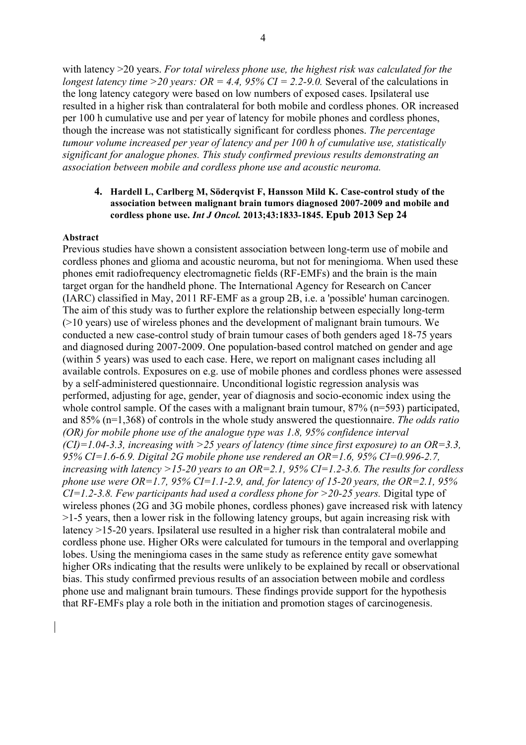with latency >20 years. *For total wireless phone use, the highest risk was calculated for the longest latency time >20 years: OR = 4.4, 95% CI = 2.2-9.0.* Several of the calculations in the long latency category were based on low numbers of exposed cases. Ipsilateral use resulted in a higher risk than contralateral for both mobile and cordless phones. OR increased per 100 h cumulative use and per year of latency for mobile phones and cordless phones, though the increase was not statistically significant for cordless phones. *The percentage tumour volume increased per year of latency and per 100 h of cumulative use, statistically significant for analogue phones. This study confirmed previous results demonstrating an association between mobile and cordless phone use and acoustic neuroma.*

## **4. Hardell L, Carlberg M, Söderqvist F, Hansson Mild K. Case-control study of the association between malignant brain tumors diagnosed 2007-2009 and mobile and cordless phone use.** *Int J Oncol.* **2013;43:1833-1845. Epub 2013 Sep 24**

#### **Abstract**

Previous studies have shown a consistent association between long-term use of mobile and cordless phones and glioma and acoustic neuroma, but not for meningioma. When used these phones emit radiofrequency electromagnetic fields (RF-EMFs) and the brain is the main target organ for the handheld phone. The International Agency for Research on Cancer (IARC) classified in May, 2011 RF-EMF as a group 2B, i.e. a 'possible' human carcinogen. The aim of this study was to further explore the relationship between especially long-term (>10 years) use of wireless phones and the development of malignant brain tumours. We conducted a new case-control study of brain tumour cases of both genders aged 18-75 years and diagnosed during 2007-2009. One population-based control matched on gender and age (within 5 years) was used to each case. Here, we report on malignant cases including all available controls. Exposures on e.g. use of mobile phones and cordless phones were assessed by a self-administered questionnaire. Unconditional logistic regression analysis was performed, adjusting for age, gender, year of diagnosis and socio-economic index using the whole control sample. Of the cases with a malignant brain tumour, 87% (n=593) participated, and 85% (n=1,368) of controls in the whole study answered the questionnaire. *The odds ratio (OR) for mobile phone use of the analogue type was 1.8, 95% confidence interval (CI)=1.04-3.3, increasing with >25 years of latency (time since first exposure) to an OR=3.3, 95% CI=1.6-6.9. Digital 2G mobile phone use rendered an OR=1.6, 95% CI=0.996-2.7, increasing with latency >15-20 years to an OR=2.1, 95% CI=1.2-3.6. The results for cordless phone use were OR=1.7, 95% CI=1.1-2.9, and, for latency of 15-20 years, the OR=2.1, 95% CI=1.2-3.8. Few participants had used a cordless phone for >20-25 years.* Digital type of wireless phones (2G and 3G mobile phones, cordless phones) gave increased risk with latency >1-5 years, then a lower risk in the following latency groups, but again increasing risk with latency >15-20 years. Ipsilateral use resulted in a higher risk than contralateral mobile and cordless phone use. Higher ORs were calculated for tumours in the temporal and overlapping lobes. Using the meningioma cases in the same study as reference entity gave somewhat higher ORs indicating that the results were unlikely to be explained by recall or observational bias. This study confirmed previous results of an association between mobile and cordless phone use and malignant brain tumours. These findings provide support for the hypothesis that RF-EMFs play a role both in the initiation and promotion stages of carcinogenesis.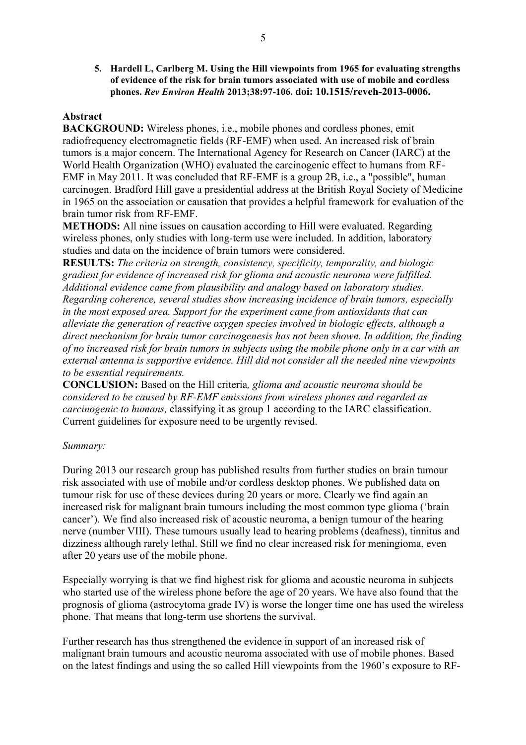### **5. Hardell L, Carlberg M. Using the Hill viewpoints from 1965 for evaluating strengths of evidence of the risk for brain tumors associated with use of mobile and cordless phones.** *Rev Environ Health* **2013;38:97-106. doi: 10.1515/reveh-2013-0006.**

# **Abstract**

**BACKGROUND:** Wireless phones, i.e., mobile phones and cordless phones, emit radiofrequency electromagnetic fields (RF-EMF) when used. An increased risk of brain tumors is a major concern. The International Agency for Research on Cancer (IARC) at the World Health Organization (WHO) evaluated the carcinogenic effect to humans from RF-EMF in May 2011. It was concluded that RF-EMF is a group 2B, i.e., a "possible", human carcinogen. Bradford Hill gave a presidential address at the British Royal Society of Medicine in 1965 on the association or causation that provides a helpful framework for evaluation of the brain tumor risk from RF-EMF.

**METHODS:** All nine issues on causation according to Hill were evaluated. Regarding wireless phones, only studies with long-term use were included. In addition, laboratory studies and data on the incidence of brain tumors were considered.

**RESULTS:** *The criteria on strength, consistency, specificity, temporality, and biologic gradient for evidence of increased risk for glioma and acoustic neuroma were fulfilled. Additional evidence came from plausibility and analogy based on laboratory studies. Regarding coherence, several studies show increasing incidence of brain tumors, especially in the most exposed area. Support for the experiment came from antioxidants that can alleviate the generation of reactive oxygen species involved in biologic effects, although a direct mechanism for brain tumor carcinogenesis has not been shown. In addition, the finding of no increased risk for brain tumors in subjects using the mobile phone only in a car with an external antenna is supportive evidence. Hill did not consider all the needed nine viewpoints to be essential requirements.*

**CONCLUSION:** Based on the Hill criteria*, glioma and acoustic neuroma should be considered to be caused by RF-EMF emissions from wireless phones and regarded as carcinogenic to humans,* classifying it as group 1 according to the IARC classification. Current guidelines for exposure need to be urgently revised.

## *Summary:*

During 2013 our research group has published results from further studies on brain tumour risk associated with use of mobile and/or cordless desktop phones. We published data on tumour risk for use of these devices during 20 years or more. Clearly we find again an increased risk for malignant brain tumours including the most common type glioma ('brain cancer'). We find also increased risk of acoustic neuroma, a benign tumour of the hearing nerve (number VIII). These tumours usually lead to hearing problems (deafness), tinnitus and dizziness although rarely lethal. Still we find no clear increased risk for meningioma, even after 20 years use of the mobile phone.

Especially worrying is that we find highest risk for glioma and acoustic neuroma in subjects who started use of the wireless phone before the age of 20 years. We have also found that the prognosis of glioma (astrocytoma grade IV) is worse the longer time one has used the wireless phone. That means that long-term use shortens the survival.

Further research has thus strengthened the evidence in support of an increased risk of malignant brain tumours and acoustic neuroma associated with use of mobile phones. Based on the latest findings and using the so called Hill viewpoints from the 1960's exposure to RF-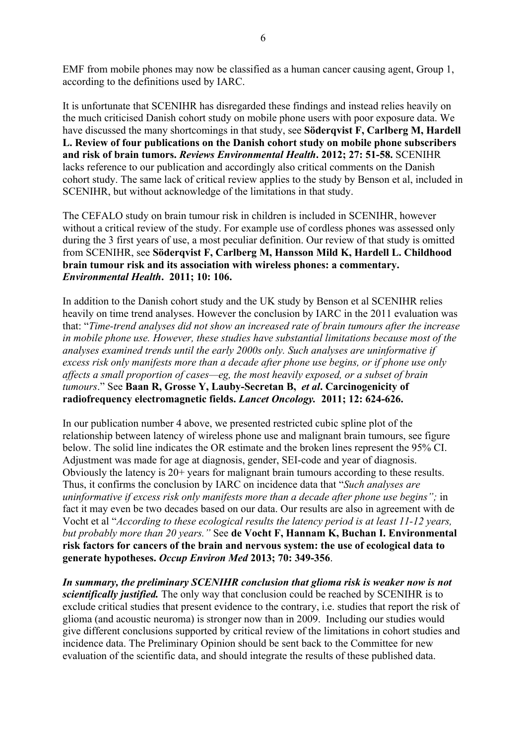EMF from mobile phones may now be classified as a human cancer causing agent, Group 1, according to the definitions used by IARC.

It is unfortunate that SCENIHR has disregarded these findings and instead relies heavily on the much criticised Danish cohort study on mobile phone users with poor exposure data. We have discussed the many shortcomings in that study, see **Söderqvist F, Carlberg M, Hardell L. Review of four publications on the Danish cohort study on mobile phone subscribers and risk of brain tumors.** *Reviews Environmental Health***. 2012; 27: 51-58.** SCENIHR lacks reference to our publication and accordingly also critical comments on the Danish cohort study. The same lack of critical review applies to the study by Benson et al, included in SCENIHR, but without acknowledge of the limitations in that study.

The CEFALO study on brain tumour risk in children is included in SCENIHR, however without a critical review of the study. For example use of cordless phones was assessed only during the 3 first years of use, a most peculiar definition. Our review of that study is omitted from SCENIHR, see **Söderqvist F, Carlberg M, Hansson Mild K, Hardell L. Childhood brain tumour risk and its association with wireless phones: a commentary.**  *Environmental Health***. 2011; 10: 106.**

In addition to the Danish cohort study and the UK study by Benson et al SCENIHR relies heavily on time trend analyses. However the conclusion by IARC in the 2011 evaluation was that: "*Time-trend analyses did not show an increased rate of brain tumours after the increase in mobile phone use. However, these studies have substantial limitations because most of the analyses examined trends until the early 2000s only. Such analyses are uninformative if excess risk only manifests more than a decade after phone use begins, or if phone use only affects a small proportion of cases—eg, the most heavily exposed, or a subset of brain tumours*." See **Baan R, Grosse Y, Lauby-Secretan B,** *et al***. Carcinogenicity of radiofrequency electromagnetic fields.** *Lancet Oncology.* **2011; 12: 624-626.**

In our publication number 4 above, we presented restricted cubic spline plot of the relationship between latency of wireless phone use and malignant brain tumours, see figure below. The solid line indicates the OR estimate and the broken lines represent the 95% CI. Adjustment was made for age at diagnosis, gender, SEI-code and year of diagnosis. Obviously the latency is 20+ years for malignant brain tumours according to these results. Thus, it confirms the conclusion by IARC on incidence data that "*Such analyses are uninformative if excess risk only manifests more than a decade after phone use begins";* in fact it may even be two decades based on our data. Our results are also in agreement with de Vocht et al "*According to these ecological results the latency period is at least 11-12 years, but probably more than 20 years."* See **de Vocht F, Hannam K, Buchan I. Environmental risk factors for cancers of the brain and nervous system: the use of ecological data to generate hypotheses.** *Occup Environ Med* **2013; 70: 349-356**.

*In summary, the preliminary SCENIHR conclusion that glioma risk is weaker now is not scientifically justified.* The only way that conclusion could be reached by SCENIHR is to exclude critical studies that present evidence to the contrary, i.e. studies that report the risk of glioma (and acoustic neuroma) is stronger now than in 2009. Including our studies would give different conclusions supported by critical review of the limitations in cohort studies and incidence data. The Preliminary Opinion should be sent back to the Committee for new evaluation of the scientific data, and should integrate the results of these published data.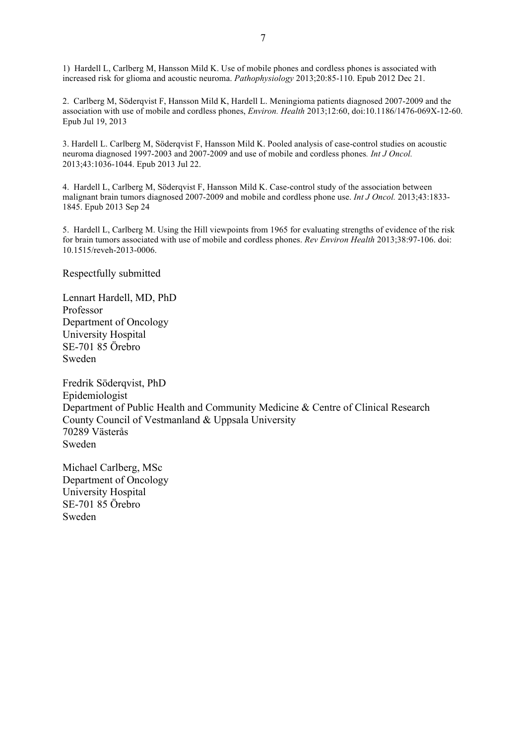1) Hardell L, Carlberg M, Hansson Mild K. Use of mobile phones and cordless phones is associated with increased risk for glioma and acoustic neuroma. *Pathophysiology* 2013;20:85-110. Epub 2012 Dec 21.

2. Carlberg M, Söderqvist F, Hansson Mild K, Hardell L. Meningioma patients diagnosed 2007-2009 and the association with use of mobile and cordless phones, *Environ. Health* 2013;12:60, doi:10.1186/1476-069X-12-60. Epub Jul 19, 2013

3. Hardell L. Carlberg M, Söderqvist F, Hansson Mild K. Pooled analysis of case-control studies on acoustic neuroma diagnosed 1997-2003 and 2007-2009 and use of mobile and cordless phones*. Int J Oncol.* 2013;43:1036-1044. Epub 2013 Jul 22.

4. Hardell L, Carlberg M, Söderqvist F, Hansson Mild K. Case-control study of the association between malignant brain tumors diagnosed 2007-2009 and mobile and cordless phone use. *Int J Oncol.* 2013;43:1833- 1845. Epub 2013 Sep 24

5. Hardell L, Carlberg M. Using the Hill viewpoints from 1965 for evaluating strengths of evidence of the risk for brain tumors associated with use of mobile and cordless phones. *Rev Environ Health* 2013;38:97-106. doi: 10.1515/reveh-2013-0006.

Respectfully submitted

Lennart Hardell, MD, PhD Professor Department of Oncology University Hospital SE-701 85 Örebro Sweden

Fredrik Söderqvist, PhD Epidemiologist Department of Public Health and Community Medicine & Centre of Clinical Research County Council of Vestmanland & Uppsala University 70289 Västerås Sweden

Michael Carlberg, MSc Department of Oncology University Hospital SE-701 85 Örebro Sweden